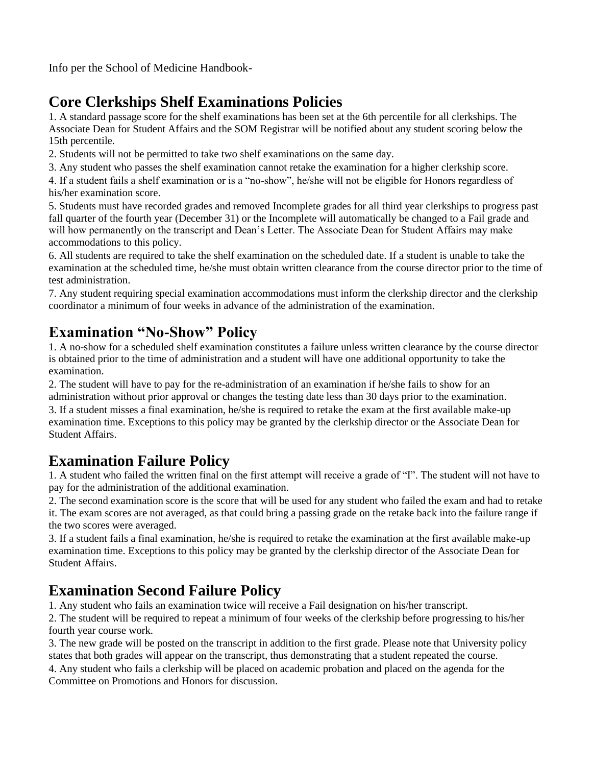Info per the School of Medicine Handbook-

# **Core Clerkships Shelf Examinations Policies**

1. A standard passage score for the shelf examinations has been set at the 6th percentile for all clerkships. The Associate Dean for Student Affairs and the SOM Registrar will be notified about any student scoring below the 15th percentile.

2. Students will not be permitted to take two shelf examinations on the same day.

3. Any student who passes the shelf examination cannot retake the examination for a higher clerkship score.

4. If a student fails a shelf examination or is a "no-show", he/she will not be eligible for Honors regardless of his/her examination score.

5. Students must have recorded grades and removed Incomplete grades for all third year clerkships to progress past fall quarter of the fourth year (December 31) or the Incomplete will automatically be changed to a Fail grade and will how permanently on the transcript and Dean's Letter. The Associate Dean for Student Affairs may make accommodations to this policy.

6. All students are required to take the shelf examination on the scheduled date. If a student is unable to take the examination at the scheduled time, he/she must obtain written clearance from the course director prior to the time of test administration.

7. Any student requiring special examination accommodations must inform the clerkship director and the clerkship coordinator a minimum of four weeks in advance of the administration of the examination.

### **Examination "No-Show" Policy**

1. A no-show for a scheduled shelf examination constitutes a failure unless written clearance by the course director is obtained prior to the time of administration and a student will have one additional opportunity to take the examination.

2. The student will have to pay for the re-administration of an examination if he/she fails to show for an administration without prior approval or changes the testing date less than 30 days prior to the examination. 3. If a student misses a final examination, he/she is required to retake the exam at the first available make-up

examination time. Exceptions to this policy may be granted by the clerkship director or the Associate Dean for Student Affairs.

#### **Examination Failure Policy**

1. A student who failed the written final on the first attempt will receive a grade of "I". The student will not have to pay for the administration of the additional examination.

2. The second examination score is the score that will be used for any student who failed the exam and had to retake it. The exam scores are not averaged, as that could bring a passing grade on the retake back into the failure range if the two scores were averaged.

3. If a student fails a final examination, he/she is required to retake the examination at the first available make-up examination time. Exceptions to this policy may be granted by the clerkship director of the Associate Dean for Student Affairs.

#### **Examination Second Failure Policy**

1. Any student who fails an examination twice will receive a Fail designation on his/her transcript.

2. The student will be required to repeat a minimum of four weeks of the clerkship before progressing to his/her fourth year course work.

3. The new grade will be posted on the transcript in addition to the first grade. Please note that University policy states that both grades will appear on the transcript, thus demonstrating that a student repeated the course.

4. Any student who fails a clerkship will be placed on academic probation and placed on the agenda for the Committee on Promotions and Honors for discussion.